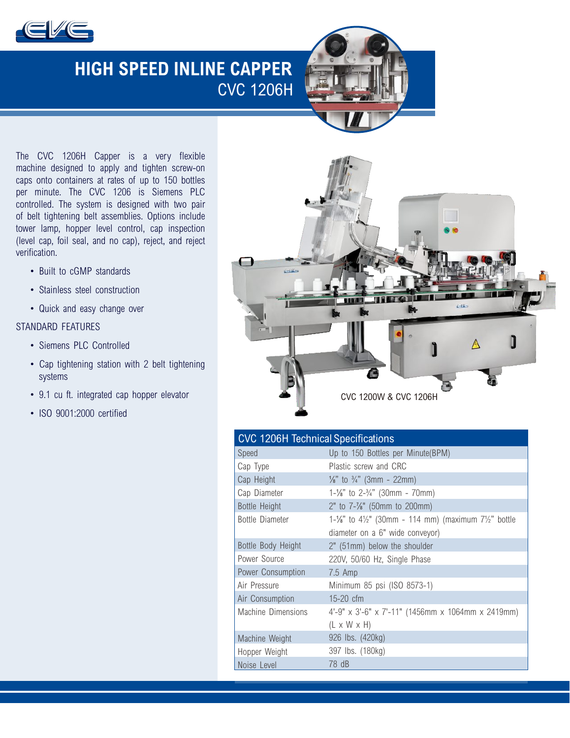

# **HIGH SPEED INLINE CAPPER** CVC 1206H



The CVC 1206H Capper is a very flexible machine designed to apply and tighten screw-on caps onto containers at rates of up to 150 bottles per minute. The CVC 1206 is Siemens PLC controlled. The system is designed with two pair of belt tightening belt assemblies. Options include tower lamp, hopper level control, cap inspection (level cap, foil seal, and no cap), reject, and reject verification.

- Built to cGMP standards
- Stainless steel construction
- Quick and easy change over

### STANDARD FEATURES

- Siemens PLC Controlled
- Cap tightening station with 2 belt tightening systems
- 9.1 cu ft. integrated cap hopper elevator
- ISO 9001:2000 certified



| <b>CVC 1206H Technical Specifications</b> |                                                                                         |
|-------------------------------------------|-----------------------------------------------------------------------------------------|
| Speed                                     | Up to 150 Bottles per Minute(BPM)                                                       |
| Cap Type                                  | Plastic screw and CRC                                                                   |
| Cap Height                                | $\frac{1}{8}$ " to $\frac{3}{4}$ " (3mm - 22mm)                                         |
| Cap Diameter                              | $1-\frac{1}{8}$ " to $2-\frac{3}{4}$ " (30mm - 70mm)                                    |
| <b>Bottle Height</b>                      | 2" to $7-\frac{7}{8}$ " (50mm to 200mm)                                                 |
| <b>Bottle Diameter</b>                    | 1- $\frac{1}{2}$ to 4 $\frac{1}{2}$ " (30mm - 114 mm) (maximum 7 $\frac{1}{2}$ " bottle |
|                                           | diameter on a 6" wide conveyor)                                                         |
| Bottle Body Height                        | 2" (51mm) below the shoulder                                                            |
| Power Source                              | 220V, 50/60 Hz, Single Phase                                                            |
| Power Consumption                         | $7.5$ Amp                                                                               |
| Air Pressure                              | Minimum 85 psi (ISO 8573-1)                                                             |
| Air Consumption                           | $15-20$ cfm                                                                             |
| Machine Dimensions                        | 4'-9" x 3'-6" x 7'-11" (1456mm x 1064mm x 2419mm)                                       |
|                                           | $(L \times W \times H)$                                                                 |
| Machine Weight                            | 926 lbs. (420kg)                                                                        |
| Hopper Weight                             | 397 lbs. (180kg)                                                                        |
| Noise Level                               | 78 dB                                                                                   |